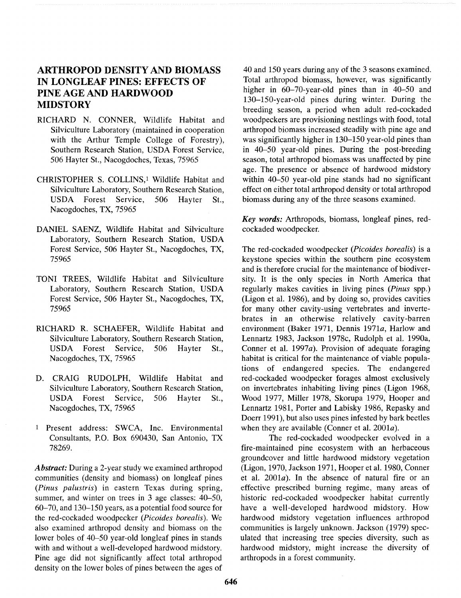# **ARTHROPOD DENSITY AND BIOMASS IN LONGLEAF PINES: EFFECTS OF PINE AGE AND HARDWOOD MIDSTORY**

- RICHARD N. CONNER, Wildlife Habitat and Silviculture Laboratory (maintained in cooperation with the Arthur Temple College of Forestry), Southern Research Station, USDA Forest Service, 506 Hayter St., Nacogdoches, Texas, 75965
- CHRISTOPHER S. COLLINS,<sup>1</sup> Wildlife Habitat and Silviculture Laboratory, Southern Research Station, USDA Forest Service, 506 Hayter St., Nacogdoches, TX, 75965
- DANIEL SAENZ, Wildlife Habitat and Silviculture Laboratory, Southern Research Station, USDA Forest Service, 506 Hayter St., Nacogdoches, **TX,**  75965
- TONI TREES, Wildlife Habitat and Silviculture Laboratory, Southern Research Station, USDA Forest Service, 506 Hayter St., Nacogdoches, TX, 75965
- RICHARD R. SCHAEFER, Wildlife Habitat and Silviculture Laboratory, Southern Research Station, USDA Forest Service, 506 Hayter St., Nacogdoches, TX, 75965
- D. CRAIG RUDOLPH, Wildlife Habitat and Silviculture Laboratory, Southern Research Station, USDA Forest Service, 506 Hayter St., Nacogdoches, TX, 75965
- 1 Present address: SWCA, Inc. Environmental Consultants, P.O. Box 690430, San Antonio, TX 78269.

*Abstract:* During a 2-year study we examined arthropod communities (density and biomass) on longleaf pines (Pinus palustris) in eastern Texas during spring, summer, and winter on trees in 3 age classes: 40-50, 60-70, and 130-150 years, as a potential food source for the red-cockaded woodpecker (Picoides borealis). We also examined arthropod density and biomass on the lower boles of 40-50 year-old longleaf pines in stands with and without a well-developed hardwood midstory. Pine age did not significantly affect total arthropod density on the lower boles of pines between the ages of

40 and 150 years during any of the 3 seasons examined. Total arthropod biomass, however, was significantly higher in 60-70-year-old pines than in 40-50 and 130-150-year-old pines during winter. During the breeding season, a period when adult red-cockaded woodpeckers are provisioning nestlings with food, total arthropod biomass increased steadily with pine age and was significantly higher in 130-150 year-old pines than in 40-50 year-old pines. During the post-breeding season, total arthropod biomass was unaffected by pine age. The presence or absence of hardwood midstory within 40-50 year-old pine stands had no significant effect on either total arthropod density or total arthropod biomass during any of the three seasons examined.

*Key words:* Arthropods, biomass, longleaf pines, redcockaded woodpecker.

The red-cockaded woodpecker (Picoides borealis) is a keystone species within the southern pine ecosystem and is therefore crucial for the maintenance of biodiversity. It is the only species in North America that regularly makes cavities in living pines (Pinus spp.) (Ligon et al. 1986), and by doing so, provides cavities for many other cavity-using vertebrates and invertebrates in an otherwise relatively cavity-barren environment (Baker 1971, Dennis 1971a, Harlow and Lennartz 1983, Jackson 1978c, Rudolph et al. 1990a, Conner et al. 1997 $a$ ). Provision of adequate foraging habitat is critical for the maintenance of viable populations of endangered species. The endangered red-cockaded woodpecker forages almost exclusively on invertebrates inhabiting living pines (Ligon 1968, Wood 1977, Miller 1978, Skorupa 1979, Hooper and Lennartz 1981, Porter and Labisky 1986, Repasky and Doerr 1991), but also uses pines infested by bark beetles when they are available (Conner et al. 2001a).

The red-cockaded woodpecker evolved in a fire-maintained pine ecosystem with an herbaceous groundcover and little hardwood midstory vegetation (Ligon, 1970, Jackson 1971, Hooper et al. 1980, Conner et al.  $2001a$ . In the absence of natural fire or an effective prescribed burning regime, many areas of historic red-cockaded woodpecker habitat currently have a well-developed hardwood midstory. How hardwood midstory vegetation influences arthropod communities is largely unknown. Jackson (1979) speculated that increasing tree species diversity, such as hardwood midstory, might increase the diversity of arthropods in a forest community.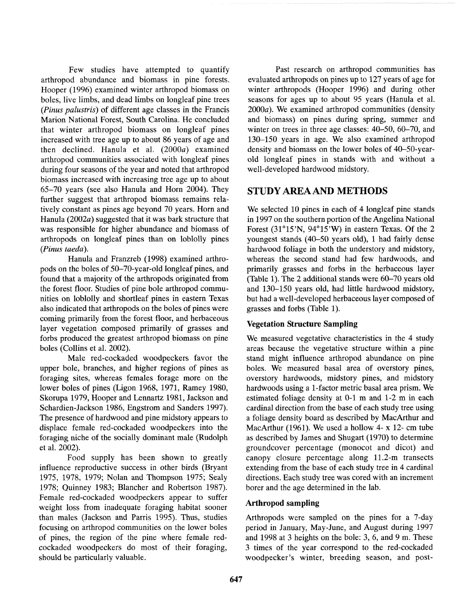Few studies have attempted to quantify arthropod abundance and biomass in pine forests. Hooper (1996) examined winter arthropod biomass on boles, live limbs, and dead limbs on longleaf pine trees (Pinus palustris) of different age classes in the Francis Marion National Forest, South Carolina. He concluded that winter arthropod biomass on longleaf pines increased with tree age up to about 86 years of age and then declined. Hanula et al.  $(2000a)$  examined arthropod communities associated with longleaf pines during four seasons of the year and noted that arthropod biomass increased with increasing tree age up to about 65-70 years (see also Hanula and Horn 2004). They further suggest that arthropod biomass remains relatively constant as pines age beyond 70 years. Horn and Hanula (2002 $a$ ) suggested that it was bark structure that was responsible for higher abundance and biomass of arthropods on longleaf pines than on loblolly pines (Pinus taeda).

Hanula and Franzreb (1998) examined arthropods on the boles of 50-70-year-old longleaf pines, and found that a majority of the arthropods originated from the forest floor. Studies of pine bole arthropod communities on loblolly and shortleaf pines in eastern Texas also indicated that arthropods on the boles of pines were coming primarily from the forest floor, and herbaceous layer vegetation composed primarily of grasses and forbs produced the greatest arthropod biomass on pine boles (Collins et al. 2002).

Male red-cockaded woodpeckers favor the upper bole, branches, and higher regions of pines as foraging sites, whereas females forage more on the lower boles of pines (Ligon 1968, 1971, Ramey 1980, Skorupa 1979, Hooper and Lennartz 1981, Jackson and Schardien-Jackson 1986, Engstrom and Sanders 1997). The presence of hardwood and pine midstory appears to displace female red-cockaded woodpeckers into the foraging niche of the socially dominant male (Rudolph et al. 2002).

Food supply has been shown to greatly influence reproductive success in other birds (Bryant 1975, 1978, 1979; Nolan and Thompson 1975; Sealy 1978; Quinney 1983; Blancher and Robertson 1987). Female red-cockaded woodpeckers appear to suffer weight loss from inadequate foraging habitat sooner than males (Jackson and Parris 1995). Thus, studies focusing on arthropod communities on the lower boles of pines, the region of the pine where female redcockaded woodpeckers do most of their foraging, should be particularly valuable.

Past research on arthropod communities has evaluated arthropods on pines up to 127 years of age for winter arthropods (Hooper 1996) and during other seasons for ages up to about 95 years (Hanula et al.  $2000a$ ). We examined arthropod communities (density and biomass) on pines during spring, summer and winter on trees in three age classes: 40-50, 60-70, and 130-150 years in age. We also examined arthropod density and biomass on the lower boles of 40-50-yearold longleaf pines in stands with and without a well-developed hardwood midstory.

# **STUDY AREAAND METHODS**

We selected 10 pines in each of 4 longleaf pine stands in 1997 on the southern portion of the Angelina National Forest  $(31^{\circ}15'N, 94^{\circ}15'W)$  in eastern Texas. Of the 2 youngest stands (40-50 years old), 1 had fairly dense hardwood foliage in both the understory and midstory, whereas the second stand had few hardwoods, and primarily grasses and forbs in the herbaceous layer (Table 1). The 2 additional stands were 60-70 years old and 130-150 years old, had little hardwood midstory, but had a well-developed herbaceous layer composed of grasses and forbs (Table 1).

# **Vegetation Structure Sampling**

We measured vegetative characteristics in the 4 study areas because the vegetative structure within a pine stand might influence arthropod abundance on pine boles. We measured basal area of overstory pines, overstory hardwoods, midstory pines, and midstory hardwoods using a 1-factor metric basal area prism. We estimated foliage density at 0-1 m and 1-2 m in each cardinal direction from the base of each study tree using a foliage density board as described by MacArthur and MacArthur (1961). We used a hollow 4- x 12- cm tube as described by James and Shugart (1970) to determine groundcover percentage (monocot and dicot) and canopy closure percentage along 11.2-m transects extending from the base of each study tree in 4 cardinal directions. Each study tree was cored with an increment borer and the age determined in the lab.

# **Arthropod sampling**

Arthropods were sampled on the pines for a 7-day period in January, May-June, and August during 1997 and 1998 at 3 heights on the bole: 3, 6, and 9 m. These 3 times of the year correspond to the red-cockaded woodpecker's winter, breeding season, and post-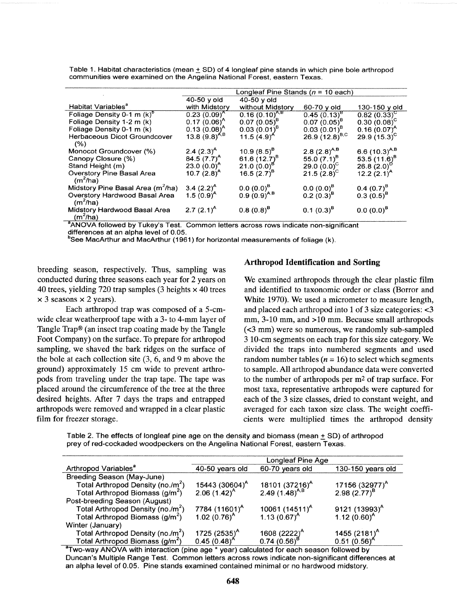|                                                    | Longleaf Pine Stands ( $n = 10$ each) |                                    |                      |                    |  |  |  |
|----------------------------------------------------|---------------------------------------|------------------------------------|----------------------|--------------------|--|--|--|
|                                                    | $40-50$ y old                         | 40-50 y old                        |                      |                    |  |  |  |
| Habitat Variables <sup>a</sup>                     | with Midstory                         | without Midstory                   | 60-70 y old          | 130-150 y old      |  |  |  |
| Foliage Density 0-1 m $(k)^{6}$                    | $0.23(0.09)^{A}$                      | $0.16(0.10)^{A,B}$                 | $0.45(0.13)^8$       | $0.82(0.33)^{C}$   |  |  |  |
| Foliage Density 1-2 m (k)                          | $0.17(0.06)^A$                        | $0.07(0.05)^{B}$                   | $0.07(0.05)^8$       | $0.30(0.08)^{C}$   |  |  |  |
| Foliage Density 0-1 m (k)                          | $0.13(0.08)^{A}$                      | $0.03(0.01)^8$                     | $0.03(0.01)^{B}$     | $0.16(0.07)^{A}$   |  |  |  |
| Herbaceous Dicot Groundcover                       | 13.8 $(9.8)^{A,B}$                    | 11.5 $(4.9)^A$                     | 26.9 $(12.8)^{B,C}$  | 29.9 $(15.3)^{C}$  |  |  |  |
| (% )                                               |                                       |                                    |                      |                    |  |  |  |
| Monocot Groundcover (%)                            | $2.4 (2.3)^{A}$                       | 10.9 $(8.5)^8$                     | 2.8 $(2.8)^{A,B}$    | 6.6 $(10.3)^{A,B}$ |  |  |  |
| Canopy Closure (%)                                 | 84.5 $(7.7)^A$                        | 61.6 $(12.7)^{B}$                  | 55.0 $(7.1)^8$       | 53.5 $(11.6)^8$    |  |  |  |
| Stand Height (m)                                   | 23.0 $(0.0)^A$                        | 21.0 $(0.0)^B$                     | 29.0 $(0.0)^{c}$     | 26.8 $(2.0)^{0}$   |  |  |  |
| <b>Overstory Pine Basal Area</b><br>$(m^2/ha)$     | 10.7 $(2.8)^{A}$                      | 16.5 $(2.7)^8$                     | 21.5 $(2.8)^{\circ}$ | 12.2 $(2.1)^{A}$   |  |  |  |
| Midstory Pine Basal Area (m <sup>2</sup> /ha)      | 3.4 $(2.2)^A$                         |                                    | $0.0 (0.0)^8$        | $0.4~(0.7)^8$      |  |  |  |
| <b>Overstory Hardwood Basal Area</b><br>$(m^2/ha)$ | 1.5 $(0.9)^A$                         | $0.0 (0.0)^8$<br>0.9 $(0.9)^{A,B}$ | $0.2(0.3)^8$         | $0.3(0.5)^8$       |  |  |  |
| Midstory Hardwood Basal Area<br>$(m^2/ha)$<br>. .  | 2.7 $(2.1)^A$                         | $0.8(0.8)^8$                       | $0.1 (0.3)^8$        | $0.0(0.0)^8$       |  |  |  |

Table 1. Habitat characteristics (mean  $\pm$  SD) of 4 longleaf pine stands in which pine bole arthropod communities were examined on the Angelina National Forest, eastern Texas.

<sup>a</sup>ANOVA followed by Tukey's Test. Common letters across rows indicate non-significant differences at an alpha level of 0.05.

 $^{\rm b}$ See MacArthur and MacArthur (1961) for horizontal measurements of foliage (k).

breeding season, respectively. Thus, sampling was conducted during three seasons each year for 2 years on 40 trees, yielding 720 trap samples (3 heights  $\times$  40 trees  $\times$  3 seasons  $\times$  2 years).

Each arthropod trap was composed of a 5-cmwide clear weatherproof tape with a 3- to 4-mm layer of Tangle Trap@ (an insect trap coating made by the Tangle Foot Company) on the surface. To prepare for arthropod sampling, we shaved the bark ridges on the surface of the bole at each collection site (3, 6, and 9 m above the ground) approximately 15 cm wide to prevent arthropods from traveling under the trap tape. The tape was placed around the circumference of the tree at the three desired heights. After 7 days the traps and entrapped arthropods were removed and wrapped in a clear plastic film for freezer storage.

#### **Arthropod Identification and Sorting**

We examined arthropods through the clear plastic film and identified to taxonomic order or class (Borror and White 1970). We used a micrometer to measure length, and placed each arthropod into 1 of 3 size categories: *<3*  mm, 3-10 mm, and >10 mm. Because small arthropods (~3 mm) were so numerous, we randomly sub-sampled 3 10-cm segments on each trap for this size category. We divided the traps into numbered segments and used random number tables ( $n = 16$ ) to select which segments to sample. All arthropod abundance data were converted to the number of arthropods per m2 of trap surface. For most taxa, representative arthropods were captured for each of the 3 size classes, dried to constant weight, and averaged for each taxon size class. The weight coefficients were multiplied times the arthropod density

Table 2. The effects of longleaf pine age on the density and biomass (mean  $\pm$  SD) of arthropod prey of red-cockaded woodpeckers on the Angelina National Forest, eastern Texas.

|                                               | Longleaf Pine Age          |                                                          |                                      |  |  |  |
|-----------------------------------------------|----------------------------|----------------------------------------------------------|--------------------------------------|--|--|--|
| Arthropod Variables <sup>a</sup>              | 40-50 years old            | 60-70 years old                                          | 130-150 years old                    |  |  |  |
| Breeding Season (May-June)                    |                            |                                                          |                                      |  |  |  |
| Total Arthropod Density (no./m <sup>2</sup> ) | 15443 (30604) <sup>A</sup> | 18101 (37216) <sup>A</sup><br>2.49 (1.48) <sup>A,B</sup> | 17156 $(32977)^A$<br>2.98 $(2.77)^B$ |  |  |  |
| Total Arthropod Biomass (g/m <sup>2</sup> )   | 2.06 $(1.42)^{A}$          |                                                          |                                      |  |  |  |
| Post-breeding Season (August)                 |                            |                                                          |                                      |  |  |  |
| Total Arthropod Density (no./m <sup>2</sup> ) | 7784 (11601) <sup>A</sup>  | 10061 $(14511)^A$                                        | 9121 $(13993)^{A}$                   |  |  |  |
| Total Arthropod Biomass (g/m <sup>2</sup> )   | 1.02 $(0.76)^{A}$          | 1.13 $(0.67)^A$                                          | 1.12 $(0.60)^A$                      |  |  |  |
| Winter (January)                              |                            |                                                          |                                      |  |  |  |
| Total Arthropod Density (no./m <sup>2</sup> ) | 1725 $(2535)^{A}$          | 1608 $(2222)^{A}$                                        | 1455 $(2181)^A$                      |  |  |  |
| Total Arthropod Biomass (g/m <sup>2</sup> )   | $0.45(0.48)^A$             | $0.74(0.56)^{E}$                                         | $0.51(0.56)^A$                       |  |  |  |

<sup>a</sup>Two-way ANOVA with interaction (pine age \* year) calculated for each season followed by Duncan's Multiple Range Test. Common letters across rows indicate non-significant differences at an alpha level of 0.05. Pine stands examined contained minimal or no hardwood midstory.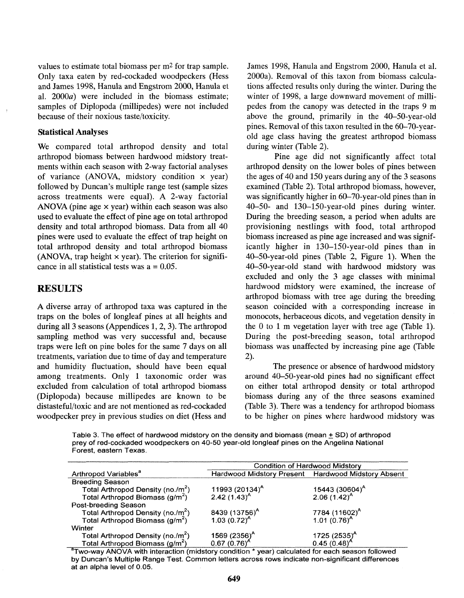values to estimate total biomass per m2 for trap sample. Only taxa eaten by red-cockaded woodpeckers (Hess and James 1998, Hanula and Engstrom 2000, Hanula et al. 2000a) were included in the biomass estimate; samples of Diplopoda (millipedes) were not included because of their noxious taste/toxicity.

#### **Statistical Analyses**

We compared total arthropod density and total arthropod biomass between hardwood midstory treatments within each season with 2-way factorial analyses of variance (ANOVA, midstory condition  $\times$  year) followed by Duncan's multiple range test (sample sizes across treatments were equal). A 2-way factorial ANOVA (pine age **x** year) within each season was also used to evaluate the effect of pine age on total arthropod density and total arthropod biomass. Data from all 40 pines were used to evaluate the effect of trap height on total arthropod density and total arthropod biomass (ANOVA, trap height  $\times$  year). The criterion for significance in all statistical tests was  $a = 0.05$ .

## **RESULTS**

A diverse array of arthropod taxa was captured in the traps on the boles of longleaf pines at all heights and during all 3 seasons (Appendices 1,2,3). The arthropod sampling method was very successful and, because traps were left on pine boles for the same 7 days on all treatments, variation due to time of day and temperature and humidity fluctuation, should have been equal among treatments. Only 1 taxonomic order was excluded from calculation of total arthropod biomass (Diplopoda) because millipedes are known to be distasteful/toxic and are not mentioned as red-cockaded woodpecker prey in previous studies on diet (Hess and

James 1998, Hanula and Engstrom 2000, Hanula et al. 2000a). Removal of this taxon from biomass calculations affected results only during the winter. During the winter of 1998, a large downward movement of millipedes from the canopy was detected in the traps 9 m above the ground, primarily in the 40-50-year-old pines. Removal of this taxon resulted in the 60-70-yearold age class having the greatest arthropod biomass during winter (Table 2).

Pine age did not significantly affect total arthropod density on the lower boles of pines between the ages of 40 and 150 years during any of the 3 seasons examined (Table 2). Total arthropod biomass, however, was significantly higher in 60-70-year-old pines than in 40-50- and 130-150-year-old pines during winter. During the breeding season, a period when adults are provisioning nestlings with food, total arthropod biomass increased as pine age increased and was significantly higher in 130-150-year-old pines than in 40-50-year-old pines (Table 2, Figure 1). When the 40-50-year-old stand with hardwood midstory was excluded and only the 3 age classes with minimal hardwood midstory were examined, the increase of arthropod biomass with tree age during the breeding season coincided with a corresponding increase in monocots, herbaceous dicots, and vegetation density in the 0 to 1 m vegetation layer with tree age (Table 1). During the post-breeding season, total arthropod biomass was unaffected by increasing pine age (Table 2).

The presence or absence of hardwood midstory around 40-50-year-old pines had no significant effect on either total arthropod density or total arthropod biomass during any of the three seasons examined (Table 3). There was a tendency for arthropod biomass to be higher on pines where hardwood midstory was

**Table 3. The effect of hardwood midstory on the density and biomass (mean 5 SD) of arthropod prey of red-cockaded woodpeckers on 40-50 year-old longleaf pines on the Angelina National Forest, eastern Texas.** 

|                                                                                              | <b>Condition of Hardwood Midstory</b>                 |                                                       |  |  |  |  |
|----------------------------------------------------------------------------------------------|-------------------------------------------------------|-------------------------------------------------------|--|--|--|--|
| Arthropod Variables <sup>a</sup>                                                             | Hardwood Midstory Present Hardwood Midstory Absent    |                                                       |  |  |  |  |
| <b>Breeding Season</b>                                                                       |                                                       |                                                       |  |  |  |  |
|                                                                                              |                                                       |                                                       |  |  |  |  |
| Total Arthropod Density (no./m <sup>2</sup> )<br>Total Arthropod Biomass (g/m <sup>2</sup> ) | 11993 $(20134)^A$<br>2.42 $(1.43)^A$                  | $15443 (30604)^{A}$<br>2.06 $(1.42)^{A}$              |  |  |  |  |
| Post-breeding Season                                                                         |                                                       |                                                       |  |  |  |  |
| Total Arthropod Density (no./m <sup>2</sup> )                                                |                                                       |                                                       |  |  |  |  |
| Total Arthropod Biomass (g/m <sup>2</sup> )                                                  | 8439 (13756) <sup>A</sup><br>1.03 (0.72) <sup>A</sup> | 7784 (11602) <sup>A</sup><br>1.01 (0.76) <sup>A</sup> |  |  |  |  |
| Winter                                                                                       |                                                       |                                                       |  |  |  |  |
| Total Arthropod Density (no./m <sup>2</sup> )                                                | 1569 (2356) <sup>A</sup>                              | 1725 $(2535)^A$                                       |  |  |  |  |
| Total Arthropod Biomass (g/m <sup>2</sup> )                                                  | $0.67(0.76)^{A}$                                      | $0.45(0.48)^{A}$                                      |  |  |  |  |

<sup>a</sup>Two-way ANOVA with interaction (midstory condition  $*$  year) calculated for each season followed by Duncan's Multiple Range Test. Common letters across rows indicate non-significant differences **at an alpha level of 0.05.**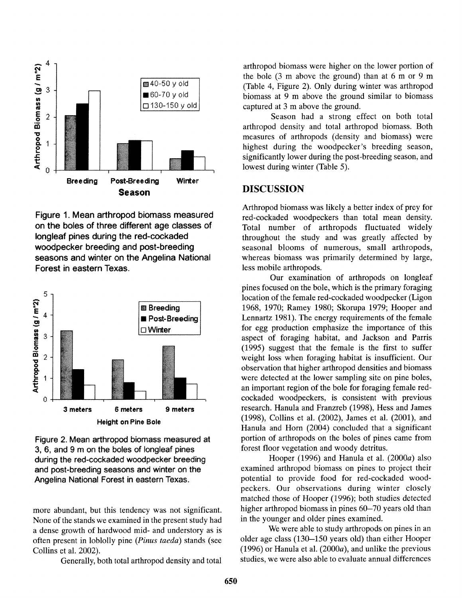

Figure 1. Mean arthropod biomass measured on the boles of three different age classes of longleaf pines during the red-cockaded woodpecker breeding and post-breeding seasons and winter on the Angelina National Forest in eastern Texas.



Figure 2. Mean arthropod biomass measured at 3, 6, and 9 m on the boles of longleaf pines during the red-cockaded woodpecker breeding and post-breeding seasons and winter on the Angelina National Forest in eastern Texas.

more abundant, but this tendency was not significant. None of the stands we examined in the present study had a dense growth of hardwood mid- and understory as is often present in loblolly pine *(Pinus* taeda) stands (see Collins et al. 2002).

Generally, both total arthropod density and total

arthropod biomass were higher on the lower portion of the bole (3 m above the ground) than at 6 m or 9 m (Table 4, Figure 2). Only during winter was arthropod biomass at 9 m above the ground similar to biomass captured at 3 m above the ground.

Season had a strong effect on both total arthropod density and total arthropod biomass. Both measures of arthropods (density and biomass) were highest during the woodpecker's breeding season, significantly lower during the post-breeding season, and lowest during winter (Table 5).

## **DISCUSSION**

Arthropod biomass was likely a better index of prey for red-cockaded woodpeckers than total mean density. Total number of arthropods fluctuated widely throughout the study and was greatly affected by seasonal blooms of numerous, small arthropods, whereas biomass was primarily determined by large, less mobile arthropods.

Our examination of arthropods on longleaf pines focused on the bole, which is the primary foraging location of the female red-cockaded woodpecker (Ligon 1968, 1970; Ramey 1980; Skorupa 1979; Hooper and Lennartz 1981). The energy requirements of the female for egg production emphasize the importance of this aspect of foraging habitat, and Jackson and Parris (1995) suggest that the female is the first to suffer weight loss when foraging habitat is insufficient. Our observation that higher arthropod densities and biomass were detected at the lower sampling site on pine boles, an important region of the bole for foraging female redcockaded woodpeckers, is consistent with previous research. Hanula and Franzreb (1998), Hess and James (1998), Collins et al. (2002), James et al. (2001), and Hanula and Horn (2004) concluded that a significant portion of arthropods on the boles of pines came from forest floor vegetation and woody detritus.

Hooper (1996) and Hanula et al.  $(2000a)$  also examined arthropod biomass on pines to project their potential to provide food for red-cockaded woodpeckers. Our observations during winter closely matched those of Hooper (1996); both studies detected higher arthropod biomass in pines 60-70 years old than in the younger and older pines examined.

We were able to study arthropods on pines in an older age class (130-150 years old) than either Hooper (1996) or Hanula et al. (2000a), and unlike the previous studies, we were also able to evaluate annual differences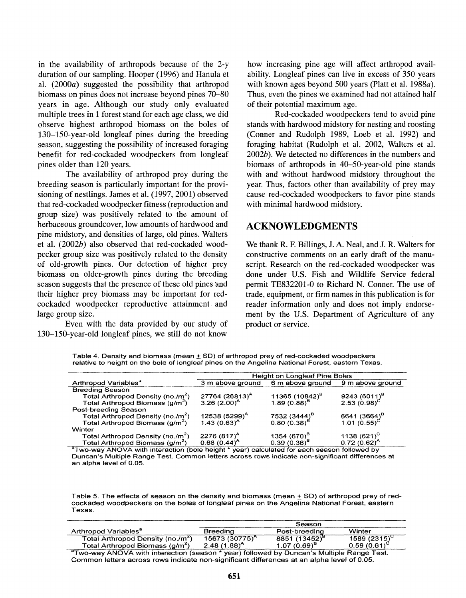in the availability of arthropods because of the 2-y duration of our sampling. Hooper (1996) and Hanula et al.  $(2000a)$  suggested the possibility that arthropod biomass on pines does not increase beyond pines 70-80 years in age. Although our study only evaluated multiple trees in 1 forest stand for each age class, we did observe highest arthropod biomass on the boles of 130-150-year-old longleaf pines during the breeding season, suggesting the possibility of increased foraging benefit for red-cockaded woodpeckers from longleaf pines older than 120 years.

The availability of arthropod prey during the breeding season is particularly important for the provisioning of nestlings. James et al. (1997, 2001) observed that red-cockaded woodpecker fitness (reproduction and group size) was positively related to the amount of herbaceous groundcover, low amounts of hardwood and pine midstory, and densities of large, old pines. Walters et al. (2002b) also observed that red-cockaded woodpecker group size was positively related to the density of old-growth pines. Our detection of higher prey biomass on older-growth pines during the breeding season suggests that the presence of these old pines and their higher prey biomass may be important for redcockaded woodpecker reproductive attainment and large group size.

Even with the data provided by our study of 130-150-year-old longleaf pines, we still do not know

how increasing pine age will affect arthropod availability. Longleaf pines can live in excess of 350 years with known ages beyond 500 years (Platt et al. 1988a). Thus, even the pines we examined had not attained half of their potential maximum age.

Red-cockaded woodpeckers tend to avoid pine stands with hardwood midstory for nesting and roosting (Conner and Rudolph 1989, Loeb et al. 1992) and foraging habitat (Rudolph et al. 2002, Walters et al. 2002b). We detected no differences in the numbers and biomass of arthropods in 40-50-year-old pine stands with and without hardwood midstory throughout the year. Thus, factors other than availability of prey may cause red-cockaded woodpeckers to favor pine stands with minimal hardwood midstory.

## **ACKNOWLEDGMENTS**

We thank R. F. Billings, J. A. Neal, and J. R. Walters for constructive comments on an early draft of the manuscript. Research on the red-cockaded woodpecker was done under U.S. Fish and Wildlife Service federal permit TE832201-0 to Richard N. Conner. The use of trade, equipment, or firm names in this publication is for reader information only and does not imply endorsement by the U.S. Department of Agriculture of any product or service.

Table 4. Density and biomass (mean  $\pm$  SD) of arthropod prey of red-cockaded woodpeckers relative to height on the bole of longleaf pines on the Angelina National Forest, eastern Texas.

|                                               | <b>Height on Longleaf Pine Boles</b> |                                    |                       |  |  |  |  |
|-----------------------------------------------|--------------------------------------|------------------------------------|-----------------------|--|--|--|--|
| Arthropod Variables <sup>a</sup>              | 6 m above ground<br>3 m above ground |                                    |                       |  |  |  |  |
|                                               |                                      |                                    | 9 m above ground      |  |  |  |  |
| <b>Breeding Season</b>                        |                                      |                                    |                       |  |  |  |  |
| Total Arthropod Density (no./m <sup>2</sup> ) | 27764 (26813) <sup>A</sup>           | 11365 (10842) <sup>B</sup>         | 9243 $(6011)^8$       |  |  |  |  |
| Total Arthropod Biomass (g/m <sup>2</sup> )   | 3.26 $(2.00)^A$                      | 1.89 $(0.88)^8$                    | 2.53 $(0.98)^{\circ}$ |  |  |  |  |
| Post-breeding Season                          |                                      |                                    |                       |  |  |  |  |
| Total Arthropod Density (no./m <sup>2</sup> ) | 12538 $(5299)^{A}$                   |                                    | 6641 $(3664)^8$       |  |  |  |  |
| Total Arthropod Biomass (g/m <sup>2</sup> )   | $1.43(0.63)^{A}$                     | 7532 $(3444)^8$<br>0.80 $(0.38)^8$ | 1.01 $(0.55)^{\circ}$ |  |  |  |  |
| Winter                                        |                                      |                                    |                       |  |  |  |  |
| Total Arthropod Density (no./m <sup>2</sup> ) | 2276 $(817)^{A}$                     | 1354 $(670)^8$                     | 1138 $(621)^C$        |  |  |  |  |
| Total Arthropod Biomass (g/m <sup>2</sup> )   | $0.68(0.44)^A$                       | $0.39(0.38)^8$                     | $0.72(0.62)^4$        |  |  |  |  |
| $2 -$                                         |                                      |                                    | .<br>$ -$             |  |  |  |  |

<sup>a</sup>Two-way ANOVA with interaction (bole height \* year) calculated for each season followed by Duncan's Multiple Range Test. Common letters across rows indicate non-significant differences at an alpha level of 0.05.

Table 5. The effects of season on the density and biomass (mean  $\pm$  SD) of arthropod prey of redcockaded woodpeckers on the boles of longleaf pines on the Angelina National Forest, eastern Texas.

|                                                                                              | Season             |                           |                   |  |  |
|----------------------------------------------------------------------------------------------|--------------------|---------------------------|-------------------|--|--|
| Arthropod Variables <sup>a</sup>                                                             | <b>Breeding</b>    | Post-breeding             | Winter            |  |  |
| Total Arthropod Density (no./m <sup>2</sup> )                                                | $15673(30775)^{4}$ | 8851 (13452) <sup>B</sup> | 1589 $(2315)^{C}$ |  |  |
| Total Arthropod Biomass (g/m <sup>2</sup> )                                                  | $2.48(1.88)^{4}$   | $1.07(0.69)^8$            | $0.59(0.61)^{6}$  |  |  |
| $a$ Tugua way ANOVA with interaction (eqgans * you) followed by Dynappin Multiple Pengo Toot |                    |                           |                   |  |  |

"Two-way ANOVA with interaction (season \* year) followed by Duncan's Multiple Range Test.<br>Common letters across rows indicate non-significant differences at an alpha level of 0.05.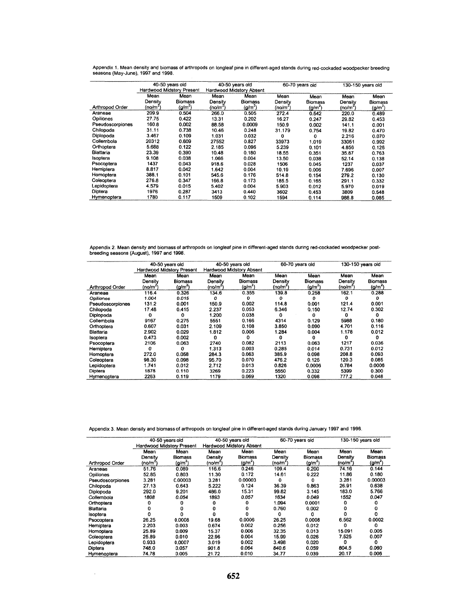|                  |                                  | 40-50 years old |                          | 40-50 years old     |         | 60-70 years old |         | 130-150 years old |
|------------------|----------------------------------|-----------------|--------------------------|---------------------|---------|-----------------|---------|-------------------|
|                  | <b>Hardwood Midstory Present</b> |                 | Hardwood Midstory Absent |                     |         |                 |         |                   |
|                  | Mean                             | Mean            | Mean                     | Mean                | Mean    | Mean            | Mean    | Mean              |
|                  | Density                          | <b>Biomass</b>  | Density                  | <b>Biomass</b>      | Density | Biomass         | Density | <b>Biomass</b>    |
| Arthropod Order  | (no/m <sup>2</sup>               | $\frac{q}{m^2}$ | (no/m <sup>2</sup> )     | (g/m <sup>2</sup> ) | (no/m^) | $(g/m^2)$       | (no/m"  | $(g/m^2)$         |
| Araneae          | 209.9                            | 0.504           | 266.0                    | 0.505               | 272.4   | 0.542           | 220.0   | 0.489             |
| Opiliones        | 27.75                            | 0.422           | 13.31                    | 0.202               | 16.27   | 0.247           | 29.82   | 0.453             |
| Pseudoscorpiones | 160.8                            | 0.002           | 88.58                    | 0.0009              | 150.9   | 0.002           | 141.1   | 0.001             |
| Chilopoda        | 31.11                            | 0.738           | 10.46                    | 0.248               | 31.179  | 0.754           | 19.82   | 0.470             |
| Diplopoda        | 3.467                            | 0.109           | 1.031                    | 0.032               | 0       | $\Omega$        | 2.216   | 0.070             |
| Collembola       | 20312                            | 0.609           | 27552                    | 0.827               | 33973   | 1.019           | 33051   | 0.992             |
| Orthoptera       | 5.688                            | 0.122           | 2.185                    | 0.096               | 5.239   | 0.101           | 4.856   | 0.126             |
| Blattaria        | 23.39                            | 0.390           | 10.48                    | 0.180               | 18.55   | 0.351           | 35.87   | 0.763             |
| Isoptera         | 9.108                            | 0.038           | 1.066                    | 0.004               | 13.50   | 0.038           | 52.14   | 0.138             |
| Psocoptera       | 1437                             | 0.043           | 918.6                    | 0.028               | 1506    | 0.045           | 1237    | 0.037             |
| Hemiptera        | 8.817                            | 0.042           | 1.642                    | 0.004               | 10.19   | 0.006           | 7.696   | 0.007             |
| Homoptera        | 388.1                            | 0.101           | 545.6                    | 0.176               | 514.8   | 0.154           | 279.2   | 0.130             |
| Coleoptera       | 276.8                            | 0.347           | 166.8                    | 0.173               | 185.5   | 0.165           | 291.1   | 0.332             |
| Lepidoptera      | 4.579                            | 0.015           | 5.402                    | 0.004               | 5.903   | 0.012           | 5.970   | 0.019             |
| Diptera          | 1976                             | 0.287           | 3413                     | 0.440               | 3602    | 0.453           | 3809    | 0.548             |
| Hymenoptera      | 1780                             | 0.117           | 1509                     | 0.102               | 1594    | 0.114           | 988.8   | 0.085             |

Appendix 1. Mean density and biomass of arthropods on longleaf pine in different-aged stands during red-cockaded woodpecker breeding<br>seasons (May-June), 1997 and 1998.

Appendix 2. Mean density and biomass of arthropods on longleaf pine in different-aged stands during red-cockaded woodpecker post-<br>breeding seasons (August), 1997 and 1998.

|                  | 40-50 years old |                           |                          | 40-50 years old     |         | 60-70 years old     | 130-150 years old |                     |
|------------------|-----------------|---------------------------|--------------------------|---------------------|---------|---------------------|-------------------|---------------------|
|                  |                 | Hardwood Midstory Present | Hardwood Midstory Absent |                     |         |                     |                   |                     |
|                  | Mean            | Mean                      | Mean                     | Mean                | Mean    | Mean                | Mean              | Mean                |
|                  | Densitv         | <b>Biomass</b>            | Densitv                  | <b>Biomass</b>      | Density | <b>Biomass</b>      | Density           | <b>Biomass</b>      |
| Arthropod Order  | (no/m"          | $(g/m^2)$                 | (no/m^)                  | (q/m <sup>2</sup> ) | (no/m"  | (g/m <sup>2</sup> ) | (no/m"            | (g/m <sup>2</sup> ) |
| Araneae          | 116.4           | 0.326                     | 134.6                    | 0.355               | 139.8   | 0.258               | 162.1             | 0.288               |
| Opiliones        | 1.004           | 0.015                     | ٥                        | 0                   | 0       | 0                   | O                 | o                   |
| Pseudoscorpiones | 131.2           | 0.001                     | 150.9                    | 0.002               | 114.8   | 0.001               | 121.4             | 0.001               |
| Chilopoda        | 17.48           | 0.415                     | 2.237                    | 0.053               | 6.346   | 0.150               | 12.74             | 0.302               |
| Diplopoda        | 0               | 0                         | 1.200                    | 0.038               | Ω       | Ω                   | 0                 | 0                   |
| Collembola       | 9167            | 0.275                     | 5551                     | 0.166               | 4314    | 0.129               | 5988              | 0.180               |
| Orthoptera       | 0.607           | 0.031                     | 2.109                    | 0.108               | 3.850   | 0.090               | 4.701             | 0.116               |
| Blattaria        | 2.902           | 0.029                     | 1.812                    | 0.006               | 1.284   | 0.004               | 1.178             | 0.012               |
| Isoptera         | 0.473           | 0.002                     | 0                        | 0                   | 0       | 0                   | o                 | 0                   |
| Psocoptera       | 2106            | 0.063                     | 2740                     | 0.082               | 2113    | 0.063               | 1217              | 0.036               |
| Hemiptera        | o               | 0                         | 1.313                    | 0.003               | 0.285   | 0.014               | 0.731             | 0.012               |
| Homoptera        | 272.0           | 0.058                     | 284.3                    | 0.063               | 385.9   | 0.098               | 208.8             | 0.093               |
| Coleoptera       | 98.30           | 0.098                     | 95.70                    | 0.070               | 476.2   | 0.125               | 120.3             | 0.085               |
| Lepidoptera      | 1.741           | 0.012                     | 2.712                    | 0.013               | 0.826   | 0.0006              | 0.784             | 0.0006              |
| Diptera          | 1878            | 0.110                     | 3269                     | 0.223               | 5550    | 0.332               | 5399              | 0.300               |
| Hymenoptera      | 2263            | 0.119                     | 1179                     | 0.069               | 1320    | 0.098               | 777.2             | 0.048               |

| Appendix 3. Mean density and biomass of arthropods on longleaf pine in different-aged stands during January 1997 and 1998. |  |  |  |  |
|----------------------------------------------------------------------------------------------------------------------------|--|--|--|--|
|----------------------------------------------------------------------------------------------------------------------------|--|--|--|--|

|                  | 40-50 years old |                           |                          | 40-50 vears old         |         | 60-70 vears old |                       | 130-150 years old   |  |
|------------------|-----------------|---------------------------|--------------------------|-------------------------|---------|-----------------|-----------------------|---------------------|--|
|                  |                 | Hardwood Midstory Present | Hardwood Midstory Absent |                         |         |                 |                       |                     |  |
|                  | Mean            | Mean                      | Mean                     | Mean                    | Mean    | Mean            | Mean                  | Mean                |  |
|                  | Densitv         | <b>Biomass</b>            | Density                  | <b>Biomass</b>          | Density | <b>Biomass</b>  | Density               | <b>Biomass</b>      |  |
| Arthropod Order  | (no/m^)         | $(g/m^{2})$               | (no/m*)                  | $\left( q/m^{2}\right)$ | (no/m^  | $(g/m^2)$       | $($ no/m <sup>2</sup> | (g/m <sup>2</sup> ) |  |
| Araneae          | 51.76           | 0.089                     | 116.6                    | 0.246                   | 109.4   | 0,200           | 74.16                 | 0.144               |  |
| <b>Opiliones</b> | 52.85           | 0.803                     | 11.30                    | 0.172                   | 14.61   | 0.222           | 11.86                 | 0.180               |  |
| Pseudoscorpiones | 3.281           | 0.00003                   | 3.281                    | 0.00003                 | 0       | o               | 3.281                 | 0.00003             |  |
| Chilopoda        | 27.13           | 0.643                     | 5.222                    | 0.124                   | 36.39   | 0.863           | 26.91                 | 0.638               |  |
| Diplopoda        | 292.0           | 9.201                     | 486.0                    | 15.31                   | 99.82   | 3.145           | 183.0                 | 5.766               |  |
| Collembola       | 1808            | 0.054                     | 1893                     | 0.057                   | 1634    | 0.049           | 1552                  | 0.047               |  |
| Orthoptera       |                 |                           |                          |                         | 1.094   | 0.0001          |                       |                     |  |
| Blattaria        |                 |                           |                          |                         | 0.760   | 0.002           |                       |                     |  |
| Isoptera         |                 |                           |                          |                         | 0       | с               |                       |                     |  |
| Psocoptera       | 26.25           | 0.0008                    | 19.68                    | 0.0006                  | 26.25   | 0.0008          | 6.562                 | 0.0002              |  |
| Hemiptera        | 2.203           | 0.003                     | 0.674                    | 0.002                   | 0.256   | 0.012           | 0                     | o                   |  |
| Homoptera        | 25.89           | 0.009                     | 15.37                    | 0.006                   | 32.35   | 0.013           | 15.091                | 0.005               |  |
| Coleoptera       | 25.89           | 0.010                     | 22.96                    | 0.004                   | 15.99   | 0.026           | 7.525                 | 0.007               |  |
| Lepidoptera      | 0.933           | 0.0007                    | 3.019                    | 0.002                   | 3.498   | 0.020           | ٥                     | ٥                   |  |
| Diotera          | 748.0           | 0.057                     | 901.8                    | 0.064                   | 840.6   | 0.059           | 804.5                 | 0.060               |  |
| Hymenoptera      | 74.78           | 0.005                     | 21.72                    | 0.010                   | 34.77   | 0.039           | 20.17                 | 0.006               |  |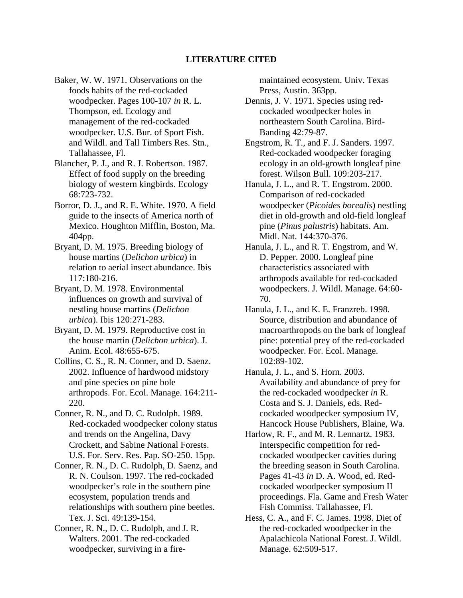#### **LITERATURE CITED**

- Baker, W. W. 1971. Observations on the foods habits of the red-cockaded woodpecker. Pages 100-107 *in* R. L. Thompson, ed. Ecology and management of the red-cockaded woodpecker. U.S. Bur. of Sport Fish. and Wildl. and Tall Timbers Res. Stn., Tallahassee, Fl.
- Blancher, P. J., and R. J. Robertson. 1987. Effect of food supply on the breeding biology of western kingbirds. Ecology 68:723-732.
- Borror, D. J., and R. E. White. 1970. A field guide to the insects of America north of Mexico. Houghton Mifflin, Boston, Ma. 404pp.
- Bryant, D. M. 1975. Breeding biology of house martins (*Delichon urbica*) in relation to aerial insect abundance. Ibis 117:180-216.
- Bryant, D. M. 1978. Environmental influences on growth and survival of nestling house martins (*Delichon urbica*). Ibis 120:271-283.
- Bryant, D. M. 1979. Reproductive cost in the house martin (*Delichon urbica*). J. Anim. Ecol. 48:655-675.
- Collins, C. S., R. N. Conner, and D. Saenz. 2002. Influence of hardwood midstory and pine species on pine bole arthropods. For. Ecol. Manage. 164:211- 220.
- Conner, R. N., and D. C. Rudolph. 1989. Red-cockaded woodpecker colony status and trends on the Angelina, Davy Crockett, and Sabine National Forests. U.S. For. Serv. Res. Pap. SO-250. 15pp.
- Conner, R. N., D. C. Rudolph, D. Saenz, and R. N. Coulson. 1997. The red-cockaded woodpecker's role in the southern pine ecosystem, population trends and relationships with southern pine beetles. Tex. J. Sci. 49:139-154.
- Conner, R. N., D. C. Rudolph, and J. R. Walters. 2001. The red-cockaded woodpecker, surviving in a fire-

maintained ecosystem. Univ. Texas Press, Austin. 363pp.

- Dennis, J. V. 1971. Species using redcockaded woodpecker holes in northeastern South Carolina. Bird-Banding 42:79-87.
- Engstrom, R. T., and F. J. Sanders. 1997. Red-cockaded woodpecker foraging ecology in an old-growth longleaf pine forest. Wilson Bull. 109:203-217.
- Hanula, J. L., and R. T. Engstrom. 2000. Comparison of red-cockaded woodpecker (*Picoides borealis*) nestling diet in old-growth and old-field longleaf pine (*Pinus palustris*) habitats. Am. Midl. Nat. 144:370-376.
- Hanula, J. L., and R. T. Engstrom, and W. D. Pepper. 2000. Longleaf pine characteristics associated with arthropods available for red-cockaded woodpeckers. J. Wildl. Manage. 64:60- 70.
- Hanula, J. L., and K. E. Franzreb. 1998. Source, distribution and abundance of macroarthropods on the bark of longleaf pine: potential prey of the red-cockaded woodpecker. For. Ecol. Manage. 102:89-102.
- Hanula, J. L., and S. Horn. 2003. Availability and abundance of prey for the red-cockaded woodpecker *in* R. Costa and S. J. Daniels, eds. Redcockaded woodpecker symposium IV, Hancock House Publishers, Blaine, Wa.
- Harlow, R. F., and M. R. Lennartz. 1983. Interspecific competition for redcockaded woodpecker cavities during the breeding season in South Carolina. Pages 41-43 *in* D. A. Wood, ed. Redcockaded woodpecker symposium II proceedings. Fla. Game and Fresh Water Fish Commiss. Tallahassee, Fl.
- Hess, C. A., and F. C. James. 1998. Diet of the red-cockaded woodpecker in the Apalachicola National Forest. J. Wildl. Manage. 62:509-517.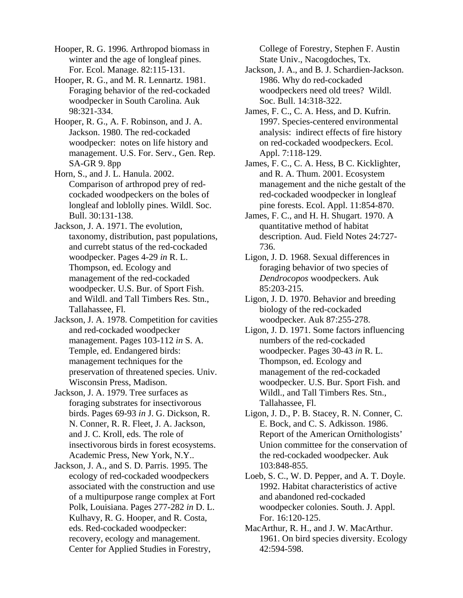Hooper, R. G. 1996. Arthropod biomass in winter and the age of longleaf pines. For. Ecol. Manage. 82:115-131.

Hooper, R. G., and M. R. Lennartz. 1981. Foraging behavior of the red-cockaded woodpecker in South Carolina. Auk 98:321-334.

Hooper, R. G., A. F. Robinson, and J. A. Jackson. 1980. The red-cockaded woodpecker: notes on life history and management. U.S. For. Serv., Gen. Rep. SA-GR 9. 8pp

Horn, S., and J. L. Hanula. 2002. Comparison of arthropod prey of redcockaded woodpeckers on the boles of longleaf and loblolly pines. Wildl. Soc. Bull. 30:131-138.

Jackson, J. A. 1971. The evolution, taxonomy, distribution, past populations, and currebt status of the red-cockaded woodpecker. Pages 4-29 *in* R. L. Thompson, ed. Ecology and management of the red-cockaded woodpecker. U.S. Bur. of Sport Fish. and Wildl. and Tall Timbers Res. Stn., Tallahassee, Fl.

Jackson, J. A. 1978. Competition for cavities and red-cockaded woodpecker management. Pages 103-112 *in* S. A. Temple, ed. Endangered birds: management techniques for the preservation of threatened species. Univ. Wisconsin Press, Madison.

Jackson, J. A. 1979. Tree surfaces as foraging substrates for insectivorous birds. Pages 69-93 *in* J. G. Dickson, R. N. Conner, R. R. Fleet, J. A. Jackson, and J. C. Kroll, eds. The role of insectivorous birds in forest ecosystems. Academic Press, New York, N.Y..

Jackson, J. A., and S. D. Parris. 1995. The ecology of red-cockaded woodpeckers associated with the construction and use of a multipurpose range complex at Fort Polk, Louisiana. Pages 277-282 *in* D. L. Kulhavy, R. G. Hooper, and R. Costa, eds. Red-cockaded woodpecker: recovery, ecology and management. Center for Applied Studies in Forestry,

College of Forestry, Stephen F. Austin State Univ., Nacogdoches, Tx.

Jackson, J. A., and B. J. Schardien-Jackson. 1986. Why do red-cockaded woodpeckers need old trees? Wildl. Soc. Bull. 14:318-322.

James, F. C., C. A. Hess, and D. Kufrin. 1997. Species-centered environmental analysis: indirect effects of fire history on red-cockaded woodpeckers. Ecol. Appl. 7:118-129.

James, F. C., C. A. Hess, B C. Kicklighter, and R. A. Thum. 2001. Ecosystem management and the niche gestalt of the red-cockaded woodpecker in longleaf pine forests. Ecol. Appl. 11:854-870.

James, F. C., and H. H. Shugart. 1970. A quantitative method of habitat description. Aud. Field Notes 24:727- 736.

Ligon, J. D. 1968. Sexual differences in foraging behavior of two species of *Dendrocopos* woodpeckers. Auk 85:203-215.

Ligon, J. D. 1970. Behavior and breeding biology of the red-cockaded woodpecker. Auk 87:255-278.

Ligon, J. D. 1971. Some factors influencing numbers of the red-cockaded woodpecker. Pages 30-43 *in* R. L. Thompson, ed. Ecology and management of the red-cockaded woodpecker. U.S. Bur. Sport Fish. and Wildl., and Tall Timbers Res. Stn., Tallahassee, Fl.

Ligon, J. D., P. B. Stacey, R. N. Conner, C. E. Bock, and C. S. Adkisson. 1986. Report of the American Ornithologists' Union committee for the conservation of the red-cockaded woodpecker. Auk 103:848-855.

Loeb, S. C., W. D. Pepper, and A. T. Doyle. 1992. Habitat characteristics of active and abandoned red-cockaded woodpecker colonies. South. J. Appl. For. 16:120-125.

MacArthur, R. H., and J. W. MacArthur. 1961. On bird species diversity. Ecology 42:594-598.